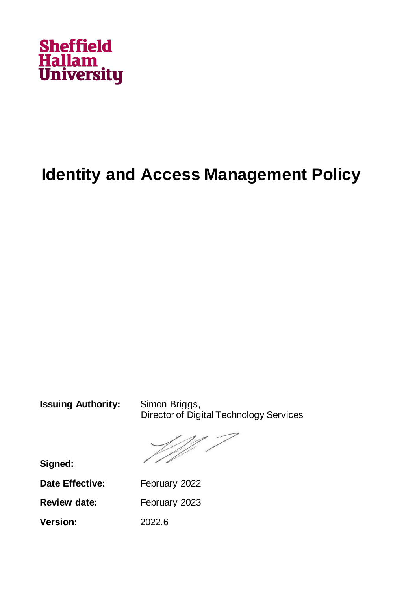

## **Identity and Access Management Policy**

**Issuing Authority:** Simon Briggs,

Director of Digital Technology Services

**Signed:**

**Date Effective:** February 2022

**Review date:** February 2023

**Version:** 2022.6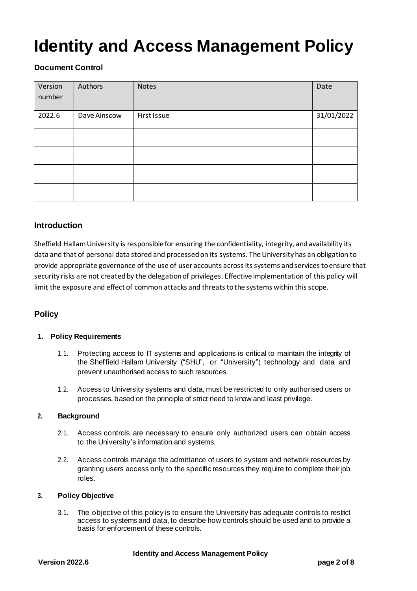# **Identity and Access Management Policy**

## **Document Control**

| Version<br>number | Authors      | Notes       | Date       |
|-------------------|--------------|-------------|------------|
| 2022.6            | Dave Ainscow | First Issue | 31/01/2022 |
|                   |              |             |            |
|                   |              |             |            |
|                   |              |             |            |
|                   |              |             |            |

### **Introduction**

Sheffield Hallam University is responsible for ensuring the confidentiality, integrity, and availability its data and that of personal data stored and processed on its systems. The University has an obligation to provide appropriate governance of the use of user accounts across its systems and services to ensure that security risks are not created by the delegation of privileges. Effective implementation of this policy will limit the exposure and effect of common attacks and threats to the systems within this scope.

## **Policy**

#### **1. Policy Requirements**

- 1.1. Protecting access to IT systems and applications is critical to maintain the integrity of the Sheffield Hallam University ("SHU", or "University") technology and data and prevent unauthorised access to such resources.
- 1.2. Access to University systems and data, must be restricted to only authorised users or processes, based on the principle of strict need to know and least privilege.

#### **2. Background**

- 2.1. Access controls are necessary to ensure only authorized users can obtain access to the University's information and systems.
- 2.2. Access controls manage the admittance of users to system and network resources by granting users access only to the specific resources they require to complete their job roles.

#### **3. Policy Objective**

3.1. The objective of this policy is to ensure the University has adequate controls to restrict access to systems and data, to describe how controls should be used and to provide a basis for enforcement of these controls.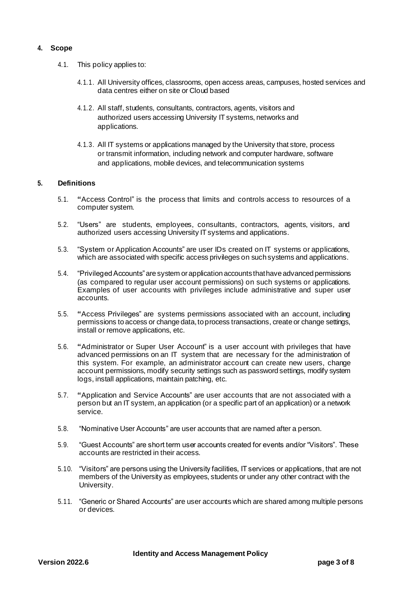#### **4. Scope**

- 4.1. This policy applies to:
	- 4.1.1. All University offices, classrooms, open access areas, campuses, hosted services and data centres either on site or Cloud based
	- 4.1.2. All staff, students, consultants, contractors, agents, visitors and authorized users accessing University IT systems, networks and applications.
	- 4.1.3. All IT systems or applications managed by the University that store, process or transmit information, including network and computer hardware, software and applications, mobile devices, and telecommunication systems

#### **5. Definitions**

- 5.1. **"**Access Control" is the process that limits and controls access to resources of a computer system.
- 5.2. "Users" are students, employees, consultants, contractors, agents, visitors, and authorized users accessing University IT systems and applications.
- 5.3. "System or Application Accounts" are user IDs created on IT systems or applications, which are associated with specific access privileges on such systems and applications.
- 5.4. "Privileged Accounts" are system or application accounts that have advanced permissions (as compared to regular user account permissions) on such systems or applications. Examples of user accounts with privileges include administrative and super user accounts.
- 5.5. **"**Access Privileges" are systems permissions associated with an account, including permissions to access or change data, to process transactions, create or change settings, install or remove applications, etc.
- 5.6. **"**Administrator or Super User Account" is a user account with privileges that have advanced permissions on an IT system that are necessary for the administration of this system. For example, an administrator account can create new users, change account permissions, modify security settings such as password settings, modify system logs, install applications, maintain patching, etc.
- 5.7. **"**Application and Service Accounts" are user accounts that are not associated with a person but an IT system, an application (or a specific part of an application) or a network service.
- 5.8. "Nominative User Accounts" are user accounts that are named after a person.
- 5.9. "Guest Accounts" are short term user accounts created for events and/or "Visitors". These accounts are restricted in their access.
- 5.10. "Visitors" are persons using the University facilities, IT services or applications, that are not members of the University as employees, students or under any other contract with the University.
- 5.11. "Generic or Shared Accounts" are user accounts which are shared among multiple persons or devices.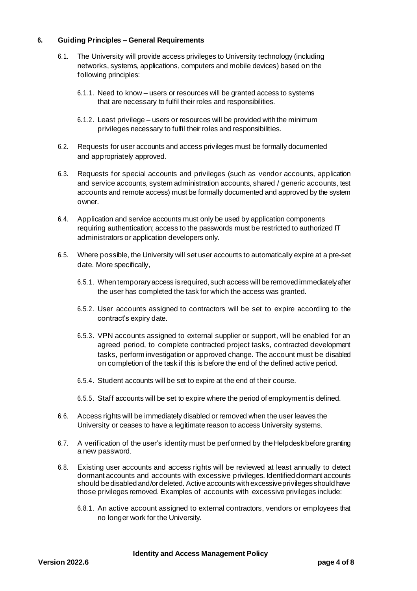#### **6. Guiding Principles – General Requirements**

- 6.1. The University will provide access privileges to University technology (including networks, systems, applications, computers and mobile devices) based on the following principles:
	- 6.1.1. Need to know users or resources will be granted access to systems that are necessary to fulfil their roles and responsibilities.
	- 6.1.2. Least privilege users or resources will be provided with the minimum privileges necessary to fulfil their roles and responsibilities.
- 6.2. Requests for user accounts and access privileges must be formally documented and appropriately approved.
- 6.3. Requests for special accounts and privileges (such as vendor accounts, application and service accounts, system administration accounts, shared / generic accounts, test accounts and remote access) must be formally documented and approved by the system owner.
- 6.4. Application and service accounts must only be used by application components requiring authentication; access to the passwords must be restricted to authorized IT administrators or application developers only.
- 6.5. Where possible, the University will set user accounts to automatically expire at a pre-set date. More specifically,
	- 6.5.1. When temporary access is required, such access will be removed immediately after the user has completed the task for which the access was granted.
	- 6.5.2. User accounts assigned to contractors will be set to expire according to the contract's expiry date.
	- 6.5.3. VPN accounts assigned to external supplier or support, will be enabled for an agreed period, to complete contracted project tasks, contracted development tasks, perform investigation or approved change. The account must be disabled on completion of the task if this is before the end of the defined active period.
	- 6.5.4. Student accounts will be set to expire at the end of their course.
	- 6.5.5. Staff accounts will be set to expire where the period of employment is defined.
- 6.6. Access rights will be immediately disabled or removed when the user leaves the University or ceases to have a legitimate reason to access University systems.
- 6.7. A verification of the user's identity must be performed by theHelpdeskbefore granting a new password.
- 6.8. Existing user accounts and access rights will be reviewed at least annually to detect dormant accounts and accounts with excessive privileges. Identified dormant accounts should be disabled and/or deleted. Active accounts with excessive privileges should have those privileges removed. Examples of accounts with excessive privileges include:
	- 6.8.1. An active account assigned to external contractors, vendors or employees that no longer work for the University.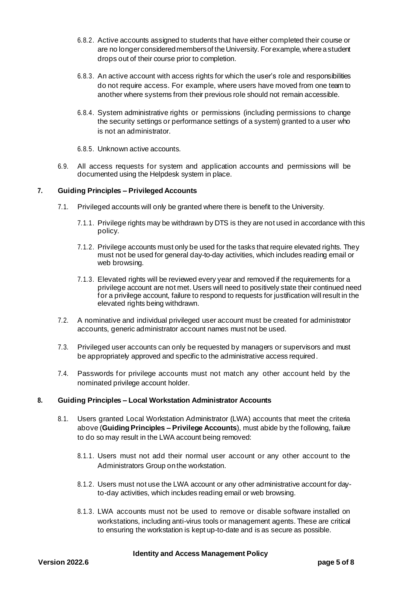- 6.8.2. Active accounts assigned to students that have either completed their course or are no longer considered members of the University. For example, where a student drops out of their course prior to completion.
- 6.8.3. An active account with access rights for which the user's role and responsibilities do not require access. For example, where users have moved from one team to another where systems from their previous role should not remain accessible.
- 6.8.4. System administrative rights or permissions (including permissions to change the security settings or performance settings of a system) granted to a user who is not an administrator.
- 6.8.5. Unknown active accounts.
- 6.9. All access requests for system and application accounts and permissions will be documented using the Helpdesk system in place.

#### **7. Guiding Principles – Privileged Accounts**

- 7.1. Privileged accounts will only be granted where there is benefit to the University.
	- 7.1.1. Privilege rights may be withdrawn by DTS is they are not used in accordance with this policy.
	- 7.1.2. Privilege accounts must only be used for the tasks that require elevated rights. They must not be used for general day-to-day activities, which includes reading email or web browsing.
	- 7.1.3. Elevated rights will be reviewed every year and removed if the requirements for a privilege account are not met. Users will need to positively state their continued need for a privilege account, failure to respond to requests for justification will result in the elevated rights being withdrawn.
- 7.2. A nominative and individual privileged user account must be created for administrator accounts, generic administrator account names must not be used.
- 7.3. Privileged user accounts can only be requested by managers or supervisors and must be appropriately approved and specific to the administrative access required.
- 7.4. Passwords for privilege accounts must not match any other account held by the nominated privilege account holder.

#### **8. Guiding Principles – Local Workstation Administrator Accounts**

- 8.1. Users granted Local Workstation Administrator (LWA) accounts that meet the criteria above (**Guiding Principles – Privilege Accounts**), must abide by the following, failure to do so may result in the LWA account being removed:
	- 8.1.1. Users must not add their normal user account or any other account to the Administrators Group on the workstation.
	- 8.1.2. Users must not use the LWA account or any other administrative account for dayto-day activities, which includes reading email or web browsing.
	- 8.1.3. LWA accounts must not be used to remove or disable software installed on workstations, including anti-virus tools or management agents. These are critical to ensuring the workstation is kept up-to-date and is as secure as possible.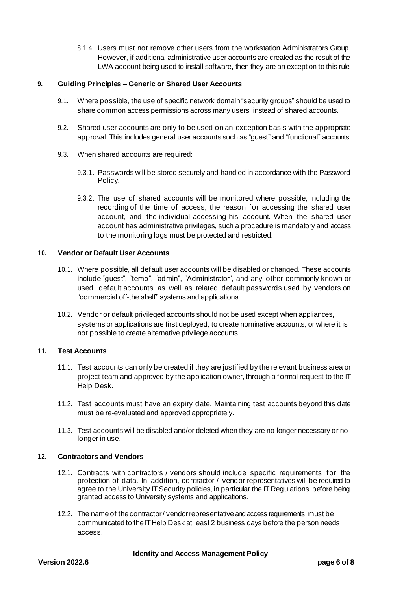8.1.4. Users must not remove other users from the workstation Administrators Group. However, if additional administrative user accounts are created as the result of the LWA account being used to install software, then they are an exception to this rule.

#### **9. Guiding Principles – Generic or Shared User Accounts**

- 9.1. Where possible, the use of specific network domain"security groups" should be used to share common access permissions across many users, instead of shared accounts.
- 9.2. Shared user accounts are only to be used on an exception basis with the appropriate approval. This includes general user accounts such as "guest" and "functional" accounts.
- 9.3. When shared accounts are required:
	- 9.3.1. Passwords will be stored securely and handled in accordance with the Password Policy.
	- 9.3.2. The use of shared accounts will be monitored where possible, including the recording of the time of access, the reason for accessing the shared user account, and the individual accessing his account. When the shared user account has administrative privileges, such a procedure is mandatory and access to the monitoring logs must be protected and restricted.

#### **10. Vendor or Default User Accounts**

- 10.1. Where possible, all default user accounts will be disabled or changed. These accounts include "guest", "temp", "admin", "Administrator", and any other commonly known or used default accounts, as well as related default passwords used by vendors on "commercial off-the shelf" systems and applications.
- 10.2. Vendor or default privileged accounts should not be used except when appliances, systems or applications are first deployed, to create nominative accounts, or where it is not possible to create alternative privilege accounts.

#### **11. Test Accounts**

- 11.1. Test accounts can only be created if they are justified by the relevant business area or project team and approved by the application owner, through a formal request to the IT Help Desk.
- 11.2. Test accounts must have an expiry date. Maintaining test accounts beyond this date must be re-evaluated and approved appropriately.
- 11.3. Test accounts will be disabled and/or deleted when they are no longer necessary or no longer in use.

#### **12. Contractors and Vendors**

- 12.1. Contracts with contractors / vendors should include specific requirements for the protection of data. In addition, contractor / vendor representatives will be required to agree to the University IT Security policies, in particular the IT Regulations, before being granted access to University systems and applications.
- 12.2. The nameof the contractor/ vendorrepresentative and access requirements must be communicated to the ITHelp Desk at least 2 business days before the person needs access.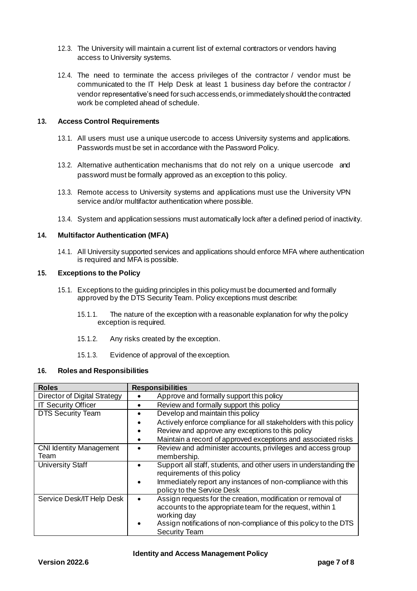- 12.3. The University will maintain a current list of external contractors or vendors having access to University systems.
- 12.4. The need to terminate the access privileges of the contractor / vendor must be communicated to the IT Help Desk at least 1 business day before the contractor / vendor representative's need for such access ends, or immediately should the contracted work be completed ahead of schedule.

#### **13. Access Control Requirements**

- 13.1. All users must use a unique usercode to access University systems and applications. Passwords must be set in accordance with the Password Policy.
- 13.2. Alternative authentication mechanisms that do not rely on a unique usercode and password must be formally approved as an exception to this policy.
- 13.3. Remote access to University systems and applications must use the University VPN service and/or multifactor authentication where possible.
- 13.4. System and application sessions must automatically lock after a defined period of inactivity.

#### **14. Multifactor Authentication (MFA)**

14.1. All University supported services and applications should enforce MFA where authentication is required and MFA is possible.

#### **15. Exceptions to the Policy**

- 15.1. Exceptions to the guiding principles in this policymust be documented and formally approved by the DTS Security Team. Policy exceptions must describe:
	- 15.1.1. The nature of the exception with a reasonable explanation for why the policy exception is required.
	- 15.1.2. Any risks created by the exception.
	- 15.1.3. Evidence of approval of the exception.

#### **16. Roles and Responsibilities**

| <b>Roles</b>                   | <b>Responsibilities</b>                                           |
|--------------------------------|-------------------------------------------------------------------|
| Director of Digital Strategy   | Approve and formally support this policy                          |
| <b>IT Security Officer</b>     | Review and formally support this policy                           |
| <b>DTS</b> Security Team       | Develop and maintain this policy                                  |
|                                | Actively enforce compliance for all stakeholders with this policy |
|                                | Review and approve any exceptions to this policy                  |
|                                | Maintain a record of approved exceptions and associated risks     |
| <b>CNI Identity Management</b> | Review and administer accounts, privileges and access group       |
| Team                           | membership.                                                       |
| <b>University Staff</b>        | Support all staff, students, and other users in understanding the |
|                                | requirements of this policy                                       |
|                                | Immediately report any instances of non-compliance with this      |
|                                | policy to the Service Desk                                        |
| Service Desk/IT Help Desk      | Assign requests for the creation, modification or removal of      |
|                                | accounts to the appropriate team for the request, within 1        |
|                                | working day                                                       |
|                                | Assign notifications of non-compliance of this policy to the DTS  |
|                                | <b>Security Team</b>                                              |